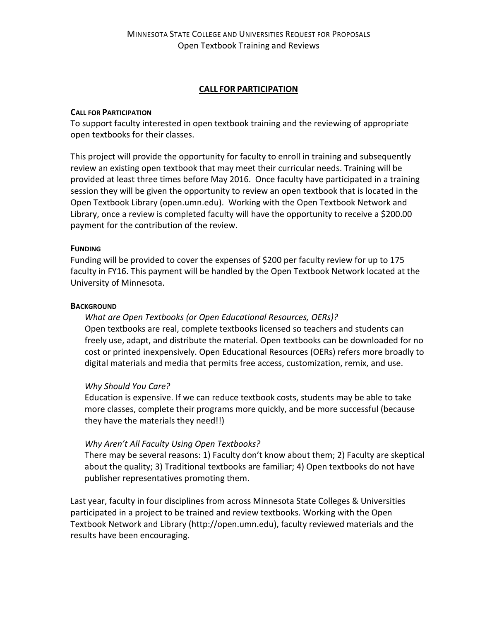### **CALL FOR PARTICIPATION**

### **CALL FOR PARTICIPATION**

To support faculty interested in open textbook training and the reviewing of appropriate open textbooks for their classes.

This project will provide the opportunity for faculty to enroll in training and subsequently review an existing open textbook that may meet their curricular needs. Training will be provided at least three times before May 2016. Once faculty have participated in a training session they will be given the opportunity to review an open textbook that is located in the Open Textbook Library (open.umn.edu). Working with the Open Textbook Network and Library, once a review is completed faculty will have the opportunity to receive a \$200.00 payment for the contribution of the review.

#### **FUNDING**

Funding will be provided to cover the expenses of \$200 per faculty review for up to 175 faculty in FY16. This payment will be handled by the Open Textbook Network located at the University of Minnesota.

### **BACKGROUND**

*What are Open Textbooks (or Open Educational Resources, OERs)?* Open textbooks are real, complete textbooks licensed so teachers and students can freely use, adapt, and distribute the material. Open textbooks can be downloaded for no cost or printed inexpensively. Open Educational Resources (OERs) refers more broadly to digital materials and media that permits free access, customization, remix, and use.

# *Why Should You Care?*

Education is expensive. If we can reduce textbook costs, students may be able to take more classes, complete their programs more quickly, and be more successful (because they have the materials they need!!)

# *Why Aren't All Faculty Using Open Textbooks?*

There may be several reasons: 1) Faculty don't know about them; 2) Faculty are skeptical about the quality; 3) Traditional textbooks are familiar; 4) Open textbooks do not have publisher representatives promoting them.

Last year, faculty in four disciplines from across Minnesota State Colleges & Universities participated in a project to be trained and review textbooks. Working with the Open Textbook Network and Library (http://open.umn.edu), faculty reviewed materials and the results have been encouraging.